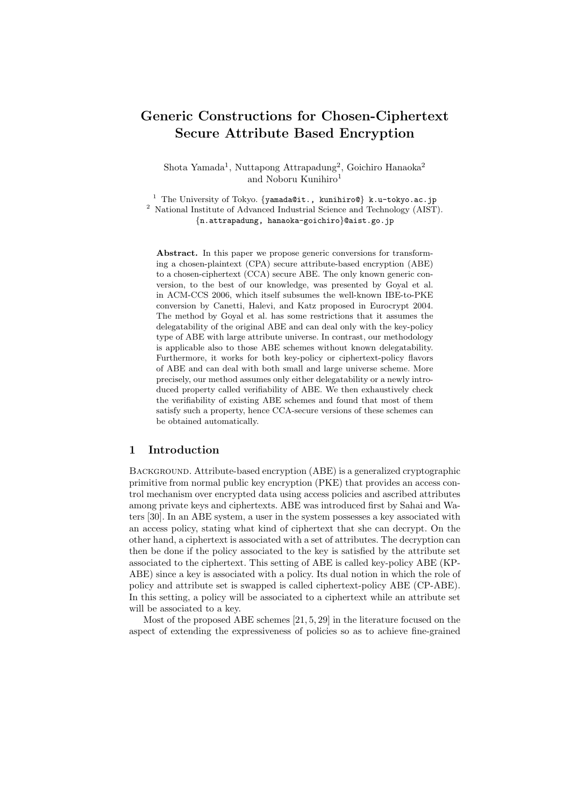# **Generic Constructions for Chosen-Ciphertext Secure Attribute Based Encryption**

Shota Yamada<sup>1</sup>, Nuttapong Attrapadung<sup>2</sup>, Goichiro Hanaoka<sup>2</sup> and Noboru Kunihiro<sup>1</sup>

<sup>1</sup> The University of Tokyo. *{*yamada@it., kunihiro@*}* k.u-tokyo.ac.jp <sup>2</sup> National Institute of Advanced Industrial Science and Technology (AIST). *{*n.attrapadung, hanaoka-goichiro*}*@aist.go.jp

**Abstract.** In this paper we propose generic conversions for transforming a chosen-plaintext (CPA) secure attribute-based encryption (ABE) to a chosen-ciphertext (CCA) secure ABE. The only known generic conversion, to the best of our knowledge, was presented by Goyal et al. in ACM-CCS 2006, which itself subsumes the well-known IBE-to-PKE conversion by Canetti, Halevi, and Katz proposed in Eurocrypt 2004. The method by Goyal et al. has some restrictions that it assumes the delegatability of the original ABE and can deal only with the key-policy type of ABE with large attribute universe. In contrast, our methodology is applicable also to those ABE schemes without known delegatability. Furthermore, it works for both key-policy or ciphertext-policy flavors of ABE and can deal with both small and large universe scheme. More precisely, our method assumes only either delegatability or a newly introduced property called verifiability of ABE. We then exhaustively check the verifiability of existing ABE schemes and found that most of them satisfy such a property, hence CCA-secure versions of these schemes can be obtained automatically.

#### **1 Introduction**

BACKGROUND. Attribute-based encryption (ABE) is a generalized cryptographic primitive from normal public key encryption (PKE) that provides an access control mechanism over encrypted data using access policies and ascribed attributes among private keys and ciphertexts. ABE was introduced first by Sahai and Waters [30]. In an ABE system, a user in the system possesses a key associated with an access policy, stating what kind of ciphertext that she can decrypt. On the other hand, a ciphertext is associated with a set of attributes. The decryption can then be done if the policy associated to the key is satisfied by the attribute set associated to the ciphertext. This setting of ABE is called key-policy ABE (KP-ABE) since a key is associated with a policy. Its dual notion in which the role of policy and attribute set is swapped is called ciphertext-policy ABE (CP-ABE). In this setting, a policy will be associated to a ciphertext while an attribute set will be associated to a key.

Most of the proposed ABE schemes [21, 5, 29] in the literature focused on the aspect of extending the expressiveness of policies so as to achieve fine-grained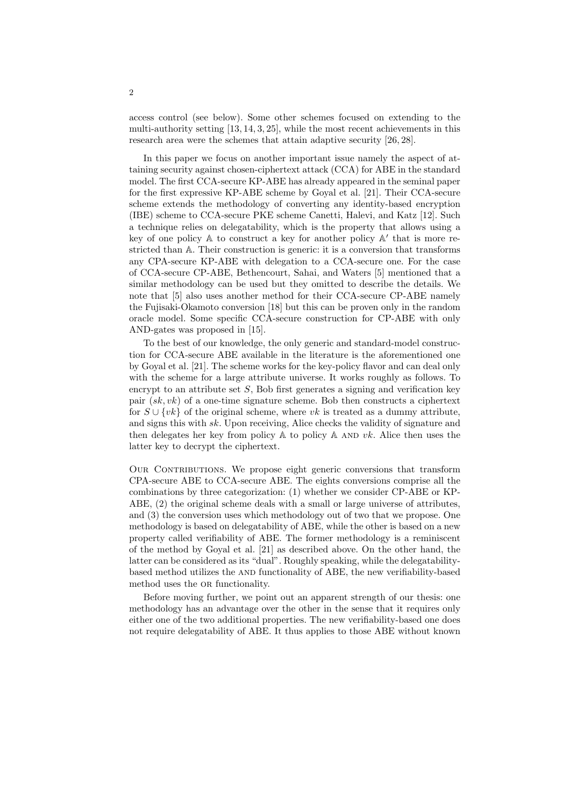access control (see below). Some other schemes focused on extending to the multi-authority setting [13, 14, 3, 25], while the most recent achievements in this research area were the schemes that attain adaptive security [26, 28].

In this paper we focus on another important issue namely the aspect of attaining security against chosen-ciphertext attack (CCA) for ABE in the standard model. The first CCA-secure KP-ABE has already appeared in the seminal paper for the first expressive KP-ABE scheme by Goyal et al. [21]. Their CCA-secure scheme extends the methodology of converting any identity-based encryption (IBE) scheme to CCA-secure PKE scheme Canetti, Halevi, and Katz [12]. Such a technique relies on delegatability, which is the property that allows using a key of one policy A to construct a key for another policy A *′* that is more restricted than A. Their construction is generic: it is a conversion that transforms any CPA-secure KP-ABE with delegation to a CCA-secure one. For the case of CCA-secure CP-ABE, Bethencourt, Sahai, and Waters [5] mentioned that a similar methodology can be used but they omitted to describe the details. We note that [5] also uses another method for their CCA-secure CP-ABE namely the Fujisaki-Okamoto conversion [18] but this can be proven only in the random oracle model. Some specific CCA-secure construction for CP-ABE with only AND-gates was proposed in [15].

To the best of our knowledge, the only generic and standard-model construction for CCA-secure ABE available in the literature is the aforementioned one by Goyal et al. [21]. The scheme works for the key-policy flavor and can deal only with the scheme for a large attribute universe. It works roughly as follows. To encrypt to an attribute set *S*, Bob first generates a signing and verification key pair (*sk, vk*) of a one-time signature scheme. Bob then constructs a ciphertext for  $S \cup \{vk\}$  of the original scheme, where  $vk$  is treated as a dummy attribute, and signs this with *sk*. Upon receiving, Alice checks the validity of signature and then delegates her key from policy  $\mathbb A$  to policy  $\mathbb A$  AND  $vk$ . Alice then uses the latter key to decrypt the ciphertext.

OUR CONTRIBUTIONS. We propose eight generic conversions that transform CPA-secure ABE to CCA-secure ABE. The eights conversions comprise all the combinations by three categorization: (1) whether we consider CP-ABE or KP-ABE, (2) the original scheme deals with a small or large universe of attributes, and (3) the conversion uses which methodology out of two that we propose. One methodology is based on delegatability of ABE, while the other is based on a new property called verifiability of ABE. The former methodology is a reminiscent of the method by Goyal et al. [21] as described above. On the other hand, the latter can be considered as its "dual". Roughly speaking, while the delegatabilitybased method utilizes the AND functionality of ABE, the new verifiability-based method uses the or functionality.

Before moving further, we point out an apparent strength of our thesis: one methodology has an advantage over the other in the sense that it requires only either one of the two additional properties. The new verifiability-based one does not require delegatability of ABE. It thus applies to those ABE without known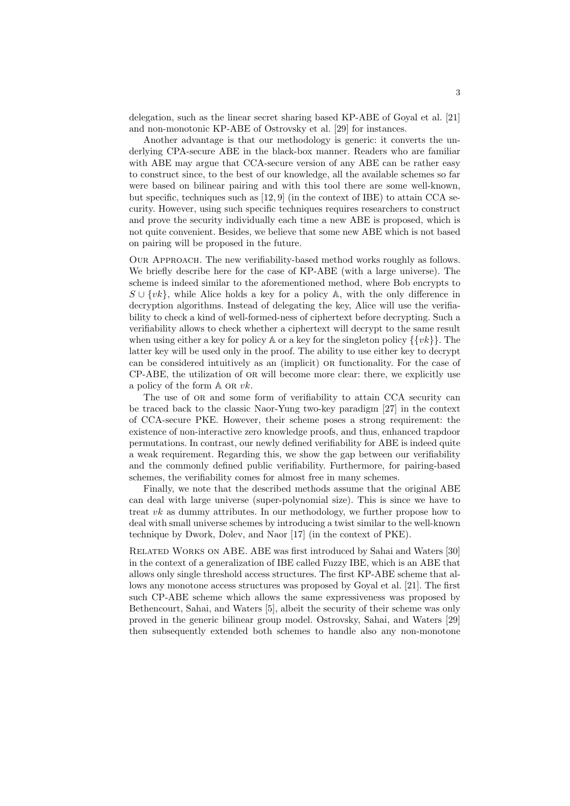delegation, such as the linear secret sharing based KP-ABE of Goyal et al. [21] and non-monotonic KP-ABE of Ostrovsky et al. [29] for instances.

Another advantage is that our methodology is generic: it converts the underlying CPA-secure ABE in the black-box manner. Readers who are familiar with ABE may argue that CCA-secure version of any ABE can be rather easy to construct since, to the best of our knowledge, all the available schemes so far were based on bilinear pairing and with this tool there are some well-known, but specific, techniques such as [12, 9] (in the context of IBE) to attain CCA security. However, using such specific techniques requires researchers to construct and prove the security individually each time a new ABE is proposed, which is not quite convenient. Besides, we believe that some new ABE which is not based on pairing will be proposed in the future.

Our Approach. The new verifiability-based method works roughly as follows. We briefly describe here for the case of KP-ABE (with a large universe). The scheme is indeed similar to the aforementioned method, where Bob encrypts to *S ∪ {vk}*, while Alice holds a key for a policy A, with the only difference in decryption algorithms. Instead of delegating the key, Alice will use the verifiability to check a kind of well-formed-ness of ciphertext before decrypting. Such a verifiability allows to check whether a ciphertext will decrypt to the same result when using either a key for policy A or a key for the singleton policy *{{vk}}*. The latter key will be used only in the proof. The ability to use either key to decrypt can be considered intuitively as an (implicit) or functionality. For the case of CP-ABE, the utilization of or will become more clear: there, we explicitly use a policy of the form A or *vk*.

The use of or and some form of verifiability to attain CCA security can be traced back to the classic Naor-Yung two-key paradigm [27] in the context of CCA-secure PKE. However, their scheme poses a strong requirement: the existence of non-interactive zero knowledge proofs, and thus, enhanced trapdoor permutations. In contrast, our newly defined verifiability for ABE is indeed quite a weak requirement. Regarding this, we show the gap between our verifiability and the commonly defined public verifiability. Furthermore, for pairing-based schemes, the verifiability comes for almost free in many schemes.

Finally, we note that the described methods assume that the original ABE can deal with large universe (super-polynomial size). This is since we have to treat *vk* as dummy attributes. In our methodology, we further propose how to deal with small universe schemes by introducing a twist similar to the well-known technique by Dwork, Dolev, and Naor [17] (in the context of PKE).

Related Works on ABE. ABE was first introduced by Sahai and Waters [30] in the context of a generalization of IBE called Fuzzy IBE, which is an ABE that allows only single threshold access structures. The first KP-ABE scheme that allows any monotone access structures was proposed by Goyal et al. [21]. The first such CP-ABE scheme which allows the same expressiveness was proposed by Bethencourt, Sahai, and Waters [5], albeit the security of their scheme was only proved in the generic bilinear group model. Ostrovsky, Sahai, and Waters [29] then subsequently extended both schemes to handle also any non-monotone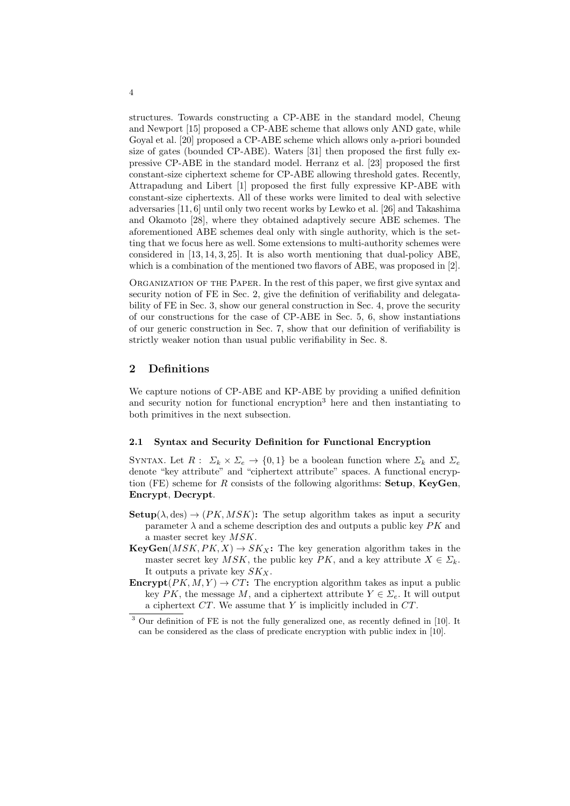structures. Towards constructing a CP-ABE in the standard model, Cheung and Newport [15] proposed a CP-ABE scheme that allows only AND gate, while Goyal et al. [20] proposed a CP-ABE scheme which allows only a-priori bounded size of gates (bounded CP-ABE). Waters [31] then proposed the first fully expressive CP-ABE in the standard model. Herranz et al. [23] proposed the first constant-size ciphertext scheme for CP-ABE allowing threshold gates. Recently, Attrapadung and Libert [1] proposed the first fully expressive KP-ABE with constant-size ciphertexts. All of these works were limited to deal with selective adversaries [11, 6] until only two recent works by Lewko et al. [26] and Takashima and Okamoto [28], where they obtained adaptively secure ABE schemes. The aforementioned ABE schemes deal only with single authority, which is the setting that we focus here as well. Some extensions to multi-authority schemes were considered in [13, 14, 3, 25]. It is also worth mentioning that dual-policy ABE, which is a combination of the mentioned two flavors of ABE, was proposed in [2].

Organization of the Paper. In the rest of this paper, we first give syntax and security notion of FE in Sec. 2, give the definition of verifiability and delegatability of FE in Sec. 3, show our general construction in Sec. 4, prove the security of our constructions for the case of CP-ABE in Sec. 5, 6, show instantiations of our generic construction in Sec. 7, show that our definition of verifiability is strictly weaker notion than usual public verifiability in Sec. 8.

# **2 Definitions**

We capture notions of CP-ABE and KP-ABE by providing a unified definition and security notion for functional encryption<sup>3</sup> here and then instantiating to both primitives in the next subsection.

#### **2.1 Syntax and Security Definition for Functional Encryption**

SYNTAX. Let  $R: \Sigma_k \times \Sigma_e \rightarrow \{0,1\}$  be a boolean function where  $\Sigma_k$  and  $\Sigma_e$ denote "key attribute" and "ciphertext attribute" spaces. A functional encryption (FE) scheme for *R* consists of the following algorithms: **Setup**, **KeyGen**, **Encrypt**, **Decrypt**.

- **Setup**( $\lambda$ , des)  $\rightarrow$  (*PK, MSK*): The setup algorithm takes as input a security parameter  $\lambda$  and a scheme description des and outputs a public key  $PK$  and a master secret key *MSK*.
- **KeyGen**( $MSK, PK, X$ )  $\rightarrow SK_X$ : The key generation algorithm takes in the master secret key *MSK*, the public key *PK*, and a key attribute  $X \in \Sigma_k$ . It outputs a private key *SKX*.
- **Encrypt** $(PK, M, Y) \rightarrow CT$ **:** The encryption algorithm takes as input a public key *PK*, the message *M*, and a ciphertext attribute  $Y \in \Sigma_e$ . It will output a ciphertext *CT*. We assume that *Y* is implicitly included in *CT*.

<sup>&</sup>lt;sup>3</sup> Our definition of FE is not the fully generalized one, as recently defined in [10]. It can be considered as the class of predicate encryption with public index in [10].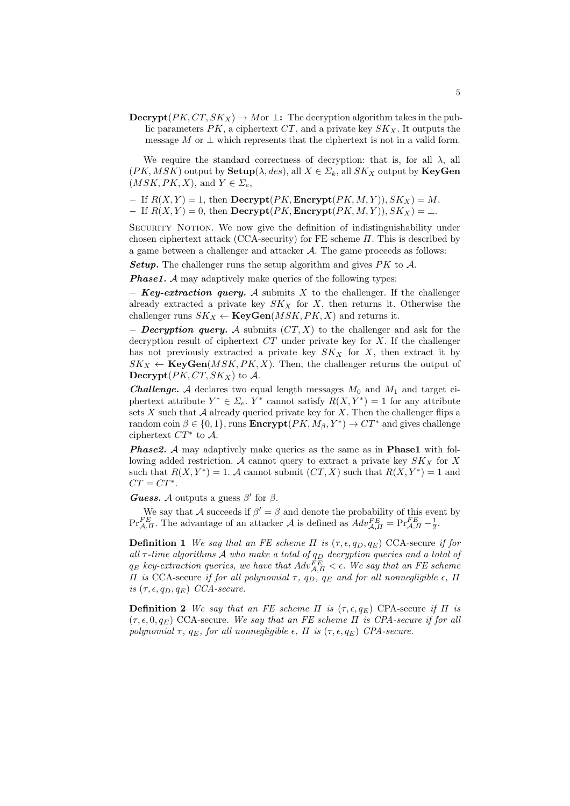**Decrypt**( $PK, CT, SK_X$ )  $\rightarrow$  *M*or  $\perp$ : The decryption algorithm takes in the public parameters  $PK$ , a ciphertext  $CT$ , and a private key  $SK<sub>X</sub>$ . It outputs the message  $M$  or  $\perp$  which represents that the ciphertext is not in a valid form.

We require the standard correctness of decryption: that is, for all  $\lambda$ , all (*PK, MSK*) output by **Setup**(*λ, des*), all *X ∈ Σk*, all *SK<sup>X</sup>* output by **KeyGen**  $(MSK, PK, X)$ , and  $Y \in \Sigma_e$ ,

- *−* If *R*(*X, Y* ) = 1, then **Decrypt**(*PK,* **Encrypt**(*PK, M, Y* ))*, SKX*) = *M*.  *If*  $R(X, Y) = 0$ *, then Decrypt(<i>PK*, **Encrypt**(*PK*, *M*, *Y*))*, SK<sub><i>X*</sub>)</sub> = ⊥.
- 

SECURITY NOTION. We now give the definition of indistinguishability under chosen ciphertext attack (CCA-security) for FE scheme *Π*. This is described by a game between a challenger and attacker *A*. The game proceeds as follows:

*Setup.* The challenger runs the setup algorithm and gives *PK* to *A*.

*Phase1. A* may adaptively make queries of the following types:

*− Key-extraction query. A* submits *X* to the challenger. If the challenger already extracted a private key  $SK_X$  for  $X$ , then returns it. Otherwise the challenger runs  $SK_X \leftarrow \text{KeyGen}(MSK, PK, X)$  and returns it.

*− Decryption query. A* submits (*CT, X*) to the challenger and ask for the decryption result of ciphertext *CT* under private key for *X*. If the challenger has not previously extracted a private key  $SK_X$  for  $X$ , then extract it by  $SK_X \leftarrow \textbf{KeyGen}(MSK, PK, X)$ . Then, the challenger returns the output of **Decrypt** $(PK, CT, SK_X)$  to *A*.

*Challenge. A* declares two equal length messages  $M_0$  and  $M_1$  and target ciphertext attribute  $Y^* \in \Sigma_e$ .  $Y^*$  cannot satisfy  $R(X, Y^*) = 1$  for any attribute sets  $X$  such that  $A$  already queried private key for  $X$ . Then the challenger flips a random coin  $\beta \in \{0,1\}$ , runs  $\textbf{Encrypt}(PK, M_{\beta}, Y^*) \to CT^*$  and gives challenge ciphertext *CT <sup>∗</sup>* to *A*.

*Phase2. A* may adaptively make queries as the same as in **Phase1** with following added restriction. A cannot query to extract a private key  $SK_X$  for X such that  $R(X, Y^*) = 1$ . *A* cannot submit  $(CT, X)$  such that  $R(X, Y^*) = 1$  and  $CT = CT^*$ .

*Guess. A* outputs a guess  $\beta'$  for  $\beta$ .

We say that *A* succeeds if  $\beta' = \beta$  and denote the probability of this event by  $Pr_{\mathcal{A},\Pi}^{FE}$ . The advantage of an attacker  $\mathcal{A}$  is defined as  $Adv_{\mathcal{A},\Pi}^{FE} = Pr_{\mathcal{A},\Pi}^{FE} - \frac{1}{2}$ .

**Definition 1** We say that an FE scheme  $\Pi$  is  $(\tau, \epsilon, q_D, q_E)$  CCA-secure *if for all τ -time algorithms A who make a total of q<sup>D</sup> decryption queries and a total of*  $q_E$  *key-extraction queries, we have that*  $Adv_{\mathcal{A},\Pi}^{FE} < \epsilon$ . We say that an FE scheme *Π is* CCA-secure *if for all polynomial*  $τ$ *,*  $q_D$ *,*  $q_E$  *and for all nonnegligible*  $ε$ *,*  $\Pi$  $is$   $(\tau, \epsilon, q_D, q_E)$  *CCA-secure.* 

**Definition 2** *We say that an FE scheme*  $\Pi$  *<i>is* ( $\tau$ , $\epsilon$ , $q_E$ ) CPA-secure *if*  $\Pi$  *is*  $(\tau, \epsilon, 0, q_E)$  CCA-secure. We say that an FE scheme  $\Pi$  is CPA-secure if for all *polynomial*  $\tau$ *,*  $q_E$ *, for all nonnegligible*  $\epsilon$ *,*  $\Pi$  *is* ( $\tau$ *,* $\epsilon$ *,* $q_E$ *) CPA-secure.*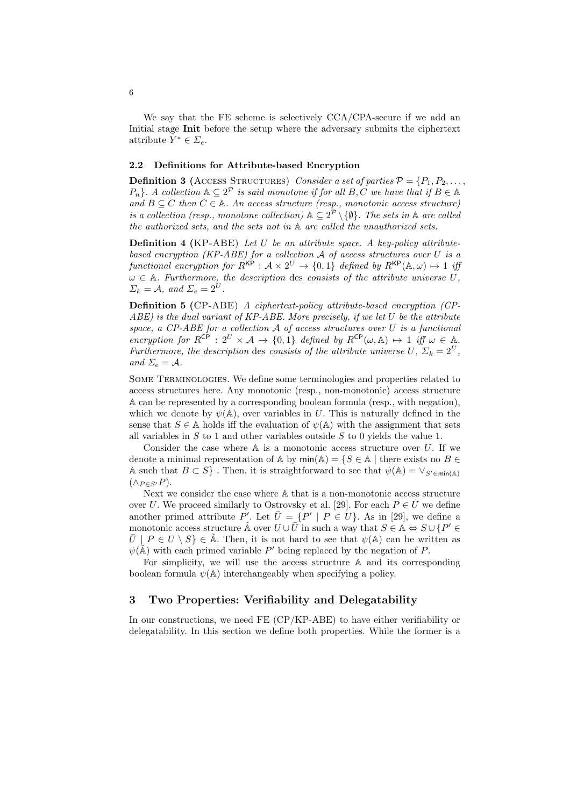We say that the FE scheme is selectively CCA/CPA-secure if we add an Initial stage **Init** before the setup where the adversary submits the ciphertext attribute  $Y^* \in \Sigma_e$ .

# **2.2 Definitions for Attribute-based Encryption**

**Definition 3 (ACCESS STRUCTURES)** *Consider a set of parties*  $P = \{P_1, P_2, \ldots, P_n\}$  $P_n$ }*.* A collection  $A \subseteq 2^P$  is said monotone if for all  $B, C$  we have that if  $B \in A$ *and*  $B \subseteq C$  *then*  $C \in \mathbb{A}$ *. An access structure (resp., monotonic access structure) is a collection (resp., monotone collection)*  $\mathbb{A} \subseteq 2^{\mathcal{P}} \setminus \{\emptyset\}$ *. The sets in*  $\mathbb{A}$  *are called the authorized sets, and the sets not in* A *are called the unauthorized sets.*

**Definition 4 (**KP-ABE) *Let U be an attribute space. A key-policy attributebased encryption (KP-ABE) for a collection A of access structures over U is a functional encryption for*  $R^{KP}$  :  $A \times 2^U \rightarrow \{0,1\}$  *defined by*  $R^{KP}(\mathbb{A}, \omega) \mapsto 1$  *iff*  $\omega \in A$ *. Furthermore, the description* des *consists of the attribute universe*  $\hat{U}$ *,*  $\Sigma_k = A$ *, and*  $\Sigma_e = 2^U$ *.* 

**Definition 5 (**CP-ABE) *A ciphertext-policy attribute-based encryption (CP-ABE) is the dual variant of KP-ABE. More precisely, if we let U be the attribute space, a CP-ABE for a collection A of access structures over U is a functional encryption for*  $R^{CP}$  :  $2^U \times A \rightarrow \{0,1\}$  *defined by*  $R^{CP}(\omega, A) \mapsto 1$  *iff*  $\omega \in A$ *. Furthermore, the description* des *consists of the attribute universe*  $U, \Sigma_k = 2^U$ ,  $and \Sigma_e = \mathcal{A}.$ 

Some Terminologies. We define some terminologies and properties related to access structures here. Any monotonic (resp., non-monotonic) access structure A can be represented by a corresponding boolean formula (resp., with negation), which we denote by  $\psi$ ( $\mathbb{A}$ ), over variables in *U*. This is naturally defined in the sense that  $S \in A$  holds iff the evaluation of  $\psi(A)$  with the assignment that sets all variables in *S* to 1 and other variables outside *S* to 0 yields the value 1.

Consider the case where A is a monotonic access structure over *U*. If we denote a minimal representation of  $\mathbb{A}$  by  $\text{min}(\mathbb{A}) = \{S \in \mathbb{A} \mid \text{there exists no } B \in \mathbb{A}\}$ A such that  $B \subset S$ . Then, it is straightforward to see that  $\psi(A) = \vee_{S' \in min(A)}$  $(\wedge_{P \in S'} P)$ .

Next we consider the case where A that is a non-monotonic access structure over *U*. We proceed similarly to Ostrovsky et al. [29]. For each  $P \in U$  we define another primed attribute  $P'$ . Let  $\overline{U} = \{P' | P \in U\}$ . As in [29], we define a monotonic access structure  $\tilde{A}$  over  $U \cup \overline{U}$  in such a way that  $S \in \mathbb{A} \Leftrightarrow S \cup \{P' \in \overline{I}\}$  $\overline{U}$  |  $P \in U \setminus S$   $\in$  A<sup> $\overline{A}$ </sup>. Then, it is not hard to see that  $\psi$ (A) can be written as  $\psi(\tilde{\mathbb{A}})$  with each primed variable  $P'$  being replaced by the negation of  $P$ .

For simplicity, we will use the access structure A and its corresponding boolean formula  $\psi$ ( $\mathbb{A}$ ) interchangeably when specifying a policy.

# **3 Two Properties: Verifiability and Delegatability**

In our constructions, we need FE (CP/KP-ABE) to have either verifiability or delegatability. In this section we define both properties. While the former is a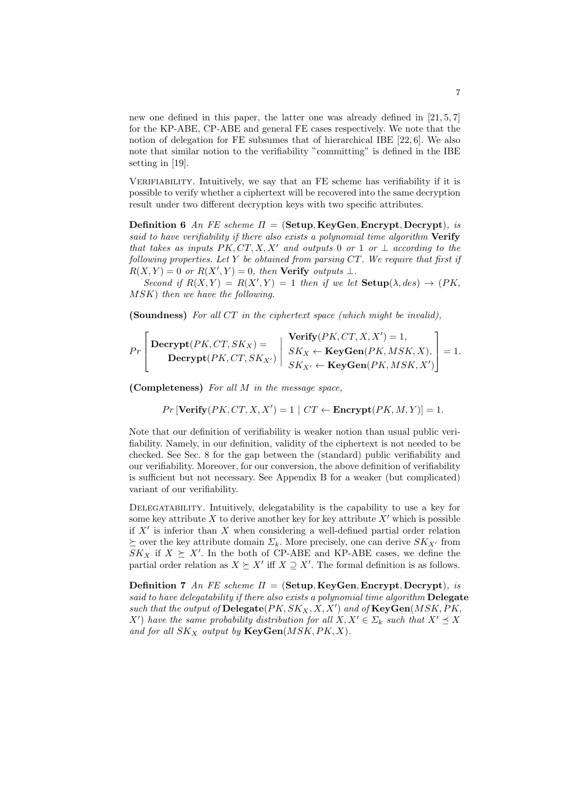new one defined in this paper, the latter one was already defined in [21, 5, 7] for the KP-ABE, CP-ABE and general FE cases respectively. We note that the notion of delegation for FE subsumes that of hierarchical IBE [22, 6]. We also note that similar notion to the verifiability "committing" is defined in the IBE setting in [19].

VERIFIABILITY. Intuitively, we say that an FE scheme has verifiability if it is possible to verify whether a ciphertext will be recovered into the same decryption result under two different decryption keys with two specific attributes.

**Definition 6** *An FE scheme Π* = (**Setup***,* **KeyGen***,* **Encrypt***,* **Decrypt**)*, is said to have verifiability if there also exists a polynomial time algorithm* **Verify** *that takes as inputs*  $PK, CT, X, X'$  *and outputs* 0 *or* 1 *or*  $\perp$  *according to the following properties. Let Y be obtained from parsing CT. We require that first if*  $R(X, Y) = 0$  *or*  $R(X', Y) = 0$ *, then* **Verify** *outputs*  $\perp$ *.* 

 $Second \textit{ if } R(X,Y) = R(X',Y) = 1 \textit{ then if we let } \textbf{Setup}(\lambda, des) \rightarrow (PK,$ *MSK*) *then we have the following.*

**(Soundness)** *For all CT in the ciphertext space (which might be invalid),*

$$
Pr\left[\begin{array}{c} \mathbf{Decrypt}(PK, CT, SK_X) = \\ \mathbf{Decrypt}(PK, CT, SK_{X'}) \end{array} \middle| \begin{array}{c} \mathbf{Verify}(PK, CT, X, X') = 1, \\ SK_X \leftarrow \mathbf{KeyGen}(PK, MSK, X), \\ SK_{X'} \leftarrow \mathbf{KeyGen}(PK, MSK, X') \end{array} \right] = 1.
$$

**(Completeness)** *For all M in the message space,*

$$
Pr[\textbf{Verify}(PK, CT, X, X') = 1 \mid CT \leftarrow \textbf{Encrypt}(PK, M, Y)] = 1.
$$

Note that our definition of verifiability is weaker notion than usual public verifiability. Namely, in our definition, validity of the ciphertext is not needed to be checked. See Sec. 8 for the gap between the (standard) public verifiability and our verifiability. Moreover, for our conversion, the above definition of verifiability is sufficient but not necessary. See Appendix B for a weaker (but complicated) variant of our verifiability.

Delegatability. Intuitively, delegatability is the capability to use a key for some key attribute  $X$  to derive another key for key attribute  $X'$  which is possible if *X′* is inferior than *X* when considering a well-defined partial order relation *≽* over the key attribute domain *Σk*. More precisely, one can derive *SK<sup>X</sup>′* from  $SK_X$  if  $X \geq X'$ . In the both of CP-ABE and KP-ABE cases, we define the partial order relation as  $X \succeq X'$  iff  $X \supseteq X'$ . The formal definition is as follows.

**Definition 7** *An FE scheme Π* = (**Setup***,* **KeyGen***,* **Encrypt***,* **Decrypt**)*, is said to have delegatability if there also exists a polynomial time algorithm* **Delegate** *such that the output of* **Delegate**(*PK, SKX, X, X′* ) *and of* **KeyGen**(*MSK, PK, X*<sup>*′*</sup>) *have the same probability distribution for all*  $X, X' \in \Sigma_k$  *such that*  $X' \preceq X$ *and for all SK<sup>X</sup> output by* **KeyGen**(*MSK, PK, X*)*.*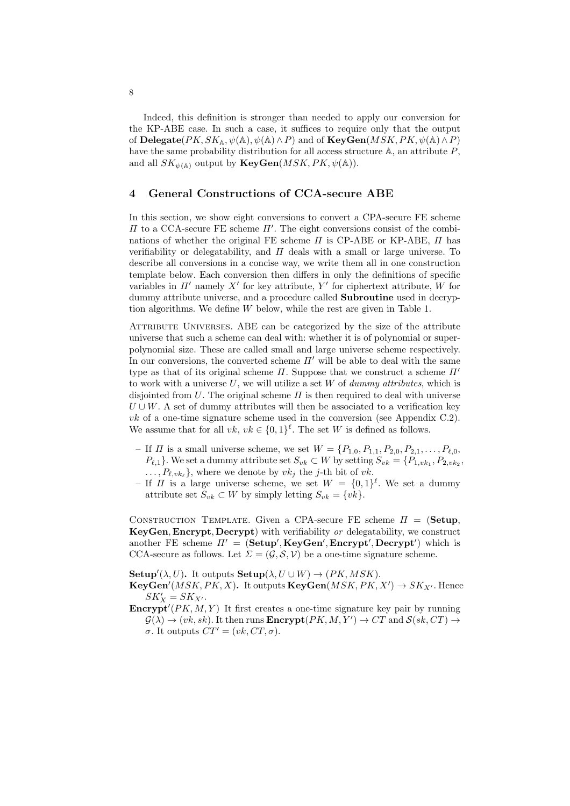Indeed, this definition is stronger than needed to apply our conversion for the KP-ABE case. In such a case, it suffices to require only that the output of  $\text{Delegate}(PK, SK_A, \psi(\mathbb{A}), \psi(\mathbb{A}) \wedge P)$  and of  $\text{KeyGen}(MSK, PK, \psi(\mathbb{A}) \wedge P)$ have the same probability distribution for all access structure A, an attribute *P*, and all  $SK_{\psi(\mathbb{A})}$  output by  $\mathbf{KeyGen}(MSK, PK, \psi(\mathbb{A})).$ 

#### **4 General Constructions of CCA-secure ABE**

In this section, we show eight conversions to convert a CPA-secure FE scheme *Π* to a CCA-secure FE scheme *Π′* . The eight conversions consist of the combinations of whether the original FE scheme *Π* is CP-ABE or KP-ABE, *Π* has verifiability or delegatability, and  $\Pi$  deals with a small or large universe. To describe all conversions in a concise way, we write them all in one construction template below. Each conversion then differs in only the definitions of specific variables in *Π′* namely *X′* for key attribute, *Y ′* for ciphertext attribute, *W* for dummy attribute universe, and a procedure called **Subroutine** used in decryption algorithms. We define *W* below, while the rest are given in Table 1.

Attribute Universes. ABE can be categorized by the size of the attribute universe that such a scheme can deal with: whether it is of polynomial or superpolynomial size. These are called small and large universe scheme respectively. In our conversions, the converted scheme *Π′* will be able to deal with the same type as that of its original scheme *Π*. Suppose that we construct a scheme *Π′* to work with a universe *U*, we will utilize a set *W* of *dummy attributes*, which is disjointed from  $U$ . The original scheme  $\Pi$  is then required to deal with universe  $U \cup W$ . A set of dummy attributes will then be associated to a verification key *vk* of a one-time signature scheme used in the conversion (see Appendix  $C.2$ ). We assume that for all  $vk, vk \in \{0,1\}^{\ell}$ . The set *W* is defined as follows.

- If *Π* is a small universe scheme, we set  $W = \{P_{1,0}, P_{1,1}, P_{2,0}, P_{2,1}, \ldots, P_{\ell,0}, P_{\ell,0}, P_{\ell,0}, P_{\ell,0}, P_{\ell,0}, P_{\ell,0}, P_{\ell,0}, P_{\ell,0}, P_{\ell,0}, P_{\ell,0}, P_{\ell,0}, P_{\ell,0}, P_{\ell,0}, P_{\ell,0}, P_{\ell,0}, P_{\ell,0}, P_{\ell,0}, P_{\ell,0}, P_{\ell,0}, P_{\ell,0}, P_{\ell$  $P_{\ell,1}$ . We set a dummy attribute set  $S_{vk} \subset W$  by setting  $S_{vk} = \{P_{1,vk_1}, P_{2,vk_2}, \ldots\}$  $\ldots$ ,  $P_{\ell, v k_{\ell}}$ , where we denote by  $vk_j$  the *j*-th bit of *vk*.
- If *Π* is a large universe scheme, we set  $W = \{0,1\}^{\ell}$ . We set a dummy attribute set  $S_{vk} \subset W$  by simply letting  $S_{vk} = \{vk\}.$

Construction Template. Given a CPA-secure FE scheme *Π* = (**Setup***,* **KeyGen***,* **Encrypt***,* **Decrypt**) with verifiability *or* delegatability, we construct another FE scheme *Π′* = (**Setup***′ ,* **KeyGen***′ ,* **Encrypt***′ ,* **Decrypt***′* ) which is CCA-secure as follows. Let  $\Sigma = (\mathcal{G}, \mathcal{S}, \mathcal{V})$  be a one-time signature scheme.

**Setup<sup>***′***</sup>(** $\lambda$ **,** *U***)<b>.** It outputs **Setup**( $\lambda$ , *U* $\cup$ *W*)  $\rightarrow$  (*PK, MSK*).

- $\mathbf{KeyGen'}(MSK, PK, X)$ . It outputs  $\mathbf{KeyGen}(MSK, PK, X') \rightarrow SK_{X'}$ . Hence  $SK'_{X} = SK_{X'}$ .
- **Encrypt***′* (*PK, M, Y* ) It first creates a one-time signature key pair by running  $\mathcal{G}(\lambda) \to (vk, sk)$ . It then runs  $\mathbf{Encrypt}(PK, M, Y') \to CT$  and  $\mathcal{S}(sk, CT) \to$ *σ*. It outputs  $CT' = (vk, CT, σ)$ .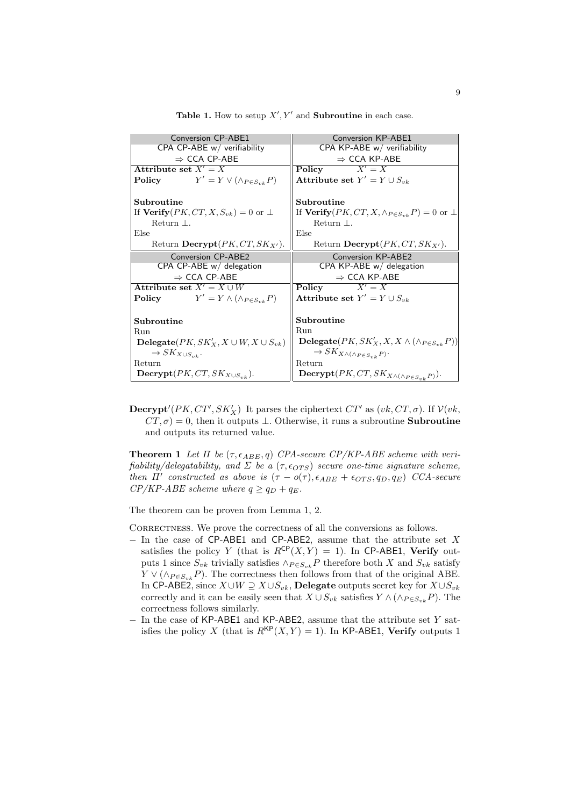| Conversion CP-ABE1                                      | Conversion KP-ABE1                                                   |
|---------------------------------------------------------|----------------------------------------------------------------------|
| CPA CP-ABE w/ verifiability                             | CPA KP-ABE w/ verifiability                                          |
| $\Rightarrow$ CCA CP-ABE                                | $\Rightarrow$ CCA KP-ABE                                             |
| Attribute set $X' = X$                                  | Policy<br>$X' = X$                                                   |
| <b>Policy</b> $Y' = Y \vee (\wedge_{P \in S_{nk}} P)$   | Attribute set $Y' = Y \cup S_{vk}$                                   |
|                                                         |                                                                      |
| ${\bf Subroutine}$                                      | Subroutine                                                           |
| If $Verify(PK, CT, X, S_{vk}) = 0$ or $\perp$           | If $Verify(PK, CT, X, \wedge_{P \in S_{nk}} P) = 0$ or $\perp$       |
| Return $\perp$ .                                        | Return $\perp$ .                                                     |
| Else                                                    | Else                                                                 |
| Return $\textbf{Decrypt}(PK, CT, SK_{X'})$ .            | Return $\textbf{Decrypt}(PK, CT, SK_{X'})$ .                         |
| Conversion CP-ABE2                                      | Conversion KP-ABE2                                                   |
| CPA CP-ABE $w/$ delegation                              | CPA $KP-ABE$ w/ delegation                                           |
| $\Rightarrow$ CCA CP-ABE                                | $\Rightarrow$ CCA KP-ABE                                             |
| Attribute set $X' = X \cup W$                           | $X' = X$<br>Policy                                                   |
| <b>Policy</b> $Y' = Y \wedge (\wedge_{P \in S_{nk}} P)$ | Attribute set $Y' = Y \cup S_{vk}$                                   |
|                                                         |                                                                      |
| Subroutine                                              | Subroutine                                                           |
| Run                                                     | Run                                                                  |
| Delegate $(PK, SK'_X, X \cup W, X \cup S_{vk})$         | Delegate $(PK, SK'_X, X, X \wedge (\wedge_{P \in S_{nk}} P))$        |
| $\rightarrow SK_{X\cup S_{n,k}}$ .                      | $\rightarrow SK_{X \wedge (\wedge_{P \in S_{nk}} P)}$ .              |
| Return                                                  | Return                                                               |
| $\textbf{Decrypt}(PK, CT, SK_{X\cup S_{nk}}).$          | $\textbf{Decrypt}(PK, CT, SK_{X \wedge (\wedge_{P \in S_{nk}} P)}).$ |

**Table 1.** How to setup  $X'$ ,  $Y'$  and **Subroutine** in each case.

**Decrypt**<sup>*′*</sup>( $PK, CT', SK'_{X}$ ) It parses the ciphertext  $CT'$  as  $(vk, CT, \sigma)$ . If  $V(vk,$  $CT, \sigma$  = 0, then it outputs  $\bot$ . Otherwise, it runs a subroutine **Subroutine** and outputs its returned value.

**Theorem 1** *Let*  $\Pi$  *be* ( $\tau$ ,  $\epsilon_{ABE}$ ,  $q$ ) *CPA-secure CP/KP-ABE scheme with veri* $fability/delayability$ , and  $\Sigma$  *be a* ( $\tau$ ,  $\epsilon_{OTS}$ ) *secure one-time signature scheme*, *then*  $\Pi'$  constructed as above is  $(\tau - o(\tau), \epsilon_{ABE} + \epsilon_{OTS}, q_D, q_E)$  CCA-secure *CP/KP-ABE scheme where*  $q \ge q_D + q_E$ .

The theorem can be proven from Lemma 1, 2.

CORRECTNESS. We prove the correctness of all the conversions as follows.

- *−* In the case of CP-ABE1 and CP-ABE2, assume that the attribute set *X* satisfies the policy *Y* (that is  $R^{CP}(X, Y) = 1$ ). In CP-ABE1, Verify outputs 1 since  $S_{vk}$  trivially satisfies  $\wedge_{P \in S_{vk}} P$  therefore both *X* and  $S_{vk}$  satisfy  $Y \vee (\wedge_{P \in S_{\textit{sub}}} P)$ . The correctness then follows from that of the original ABE. In CP-ABE2, since *X ∪W ⊇ X ∪Svk*, **Delegate** outputs secret key for *X ∪Svk* correctly and it can be easily seen that  $X \cup S_{vk}$  satisfies  $Y \wedge (\wedge_{P \in S_{vk}} P)$ . The correctness follows similarly.
- *−* In the case of KP-ABE1 and KP-ABE2, assume that the attribute set *Y* satisfies the policy *X* (that is  $R^{KP}(X, Y) = 1$ ). In KP-ABE1, **Verify** outputs 1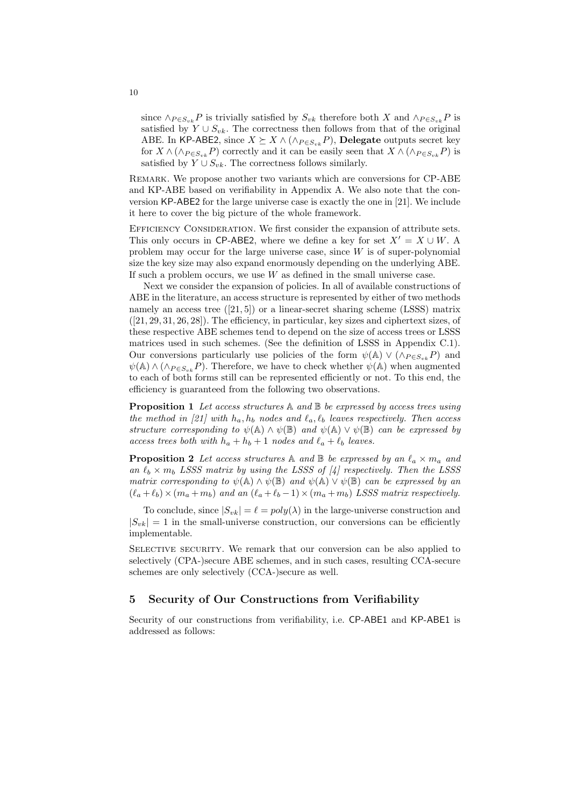since  $\wedge_{P \in S_{vk}} P$  is trivially satisfied by  $S_{vk}$  therefore both *X* and  $\wedge_{P \in S_{vk}} P$  is satisfied by  $Y \cup S_{vk}$ . The correctness then follows from that of the original ABE. In KP-ABE2, since  $X \succeq X \wedge (\wedge_{P \in S_{vk}} P)$ , **Delegate** outputs secret key for  $X \wedge (\wedge_{P \in S_{nk}} P)$  correctly and it can be easily seen that  $X \wedge (\wedge_{P \in S_{nk}} P)$  is satisfied by  $Y \cup S_{vk}$ . The correctness follows similarly.

Remark. We propose another two variants which are conversions for CP-ABE and KP-ABE based on verifiability in Appendix A. We also note that the conversion KP-ABE2 for the large universe case is exactly the one in [21]. We include it here to cover the big picture of the whole framework.

Efficiency Consideration. We first consider the expansion of attribute sets. This only occurs in CP-ABE2, where we define a key for set  $X' = X \cup W$ . A problem may occur for the large universe case, since *W* is of super-polynomial size the key size may also expand enormously depending on the underlying ABE. If such a problem occurs, we use *W* as defined in the small universe case.

Next we consider the expansion of policies. In all of available constructions of ABE in the literature, an access structure is represented by either of two methods namely an access tree  $([21, 5])$  or a linear-secret sharing scheme (LSSS) matrix  $([21, 29, 31, 26, 28])$ . The efficiency, in particular, key sizes and ciphertext sizes, of these respective ABE schemes tend to depend on the size of access trees or LSSS matrices used in such schemes. (See the definition of LSSS in Appendix C.1). Our conversions particularly use policies of the form  $\psi$ ( $\mathbb{A}$ )  $\vee$  ( $\wedge_{P \in S_{nk}} P$ ) and  $\psi$ (A)  $\wedge$  ( $\wedge$ *P* $\in$ *S*<sub>*vk</sub></sub> <i>P*). Therefore, we have to check whether  $\psi$ (A) when augmented</sub> to each of both forms still can be represented efficiently or not. To this end, the efficiency is guaranteed from the following two observations.

**Proposition 1** *Let access structures* A *and* B *be expressed by access trees using the method in [21] with*  $h_a$ ,  $h_b$  *nodes and*  $\ell_a$ ,  $\ell_b$  *leaves respectively. Then access structure corresponding to*  $\psi(\mathbb{A}) \wedge \psi(\mathbb{B})$  *and*  $\psi(\mathbb{A}) \vee \psi(\mathbb{B})$  *can be expressed by access trees both with*  $h_a + h_b + 1$  *nodes and*  $\ell_a + \ell_b$  *leaves.* 

**Proposition 2** Let access structures  $\mathbb A$  and  $\mathbb B$  be expressed by an  $\ell_a \times m_a$  and *an*  $\ell_b \times m_b$  LSSS matrix by using the LSSS of [4] respectively. Then the LSSS *matrix corresponding to*  $\psi$ ( $\mathbb{A}$ )  $\land$   $\psi$ ( $\mathbb{B}$ ) *and*  $\psi$ ( $\mathbb{A}$ )  $\lor$   $\psi$ ( $\mathbb{B}$ ) *can be expressed by an*  $(\ell_a + \ell_b) \times (m_a + m_b)$  and an  $(\ell_a + \ell_b - 1) \times (m_a + m_b)$  *LSSS matrix respectively.* 

To conclude, since  $|S_{vk}| = \ell = poly(\lambda)$  in the large-universe construction and  $|S_{vk}| = 1$  in the small-universe construction, our conversions can be efficiently implementable.

SELECTIVE SECURITY. We remark that our conversion can be also applied to selectively (CPA-)secure ABE schemes, and in such cases, resulting CCA-secure schemes are only selectively (CCA-)secure as well.

# **5 Security of Our Constructions from Verifiability**

Security of our constructions from verifiability, i.e. CP-ABE1 and KP-ABE1 is addressed as follows: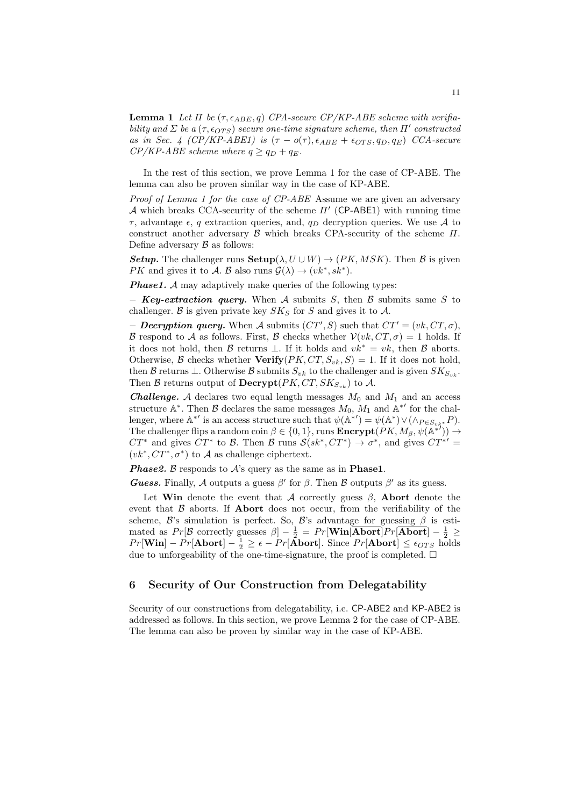**Lemma 1** Let  $\Pi$  be  $(\tau, \epsilon_{ABE}, q)$  CPA-secure CP/KP-ABE scheme with verifia*bility and*  $\Sigma$  *be a* ( $\tau$ , $\epsilon_{OTS}$ ) *secure one-time signature scheme, then*  $\Pi'$  *constructed as in Sec. 4 (CP/KP-ABE1) is*  $(\tau - o(\tau), \epsilon_{ABE} + \epsilon_{OTS}, q_D, q_E)$  *CCA-secure CP/KP-ABE scheme where*  $q \geq q_D + q_E$ .

In the rest of this section, we prove Lemma 1 for the case of CP-ABE. The lemma can also be proven similar way in the case of KP-ABE.

*Proof of Lemma 1 for the case of CP-ABE* Assume we are given an adversary *A* which breaks CCA-security of the scheme *Π′* (CP-ABE1) with running time *τ* , advantage *ϵ*, *q* extraction queries, and, *q<sup>D</sup>* decryption queries. We use *A* to construct another adversary *B* which breaks CPA-security of the scheme *Π*. Define adversary *B* as follows:

*Setup.* The challenger runs **Setup** $(\lambda, U \cup W) \rightarrow (PK, MSK)$ . Then *B* is given *PK* and gives it to *A*. *B* also runs  $\mathcal{G}(\lambda) \to (vk^*, sk^*)$ .

*Phase1. A* may adaptively make queries of the following types:

*− Key-extraction query.* When *A* submits *S*, then *B* submits same *S* to challenger. *B* is given private key *SK<sup>S</sup>* for *S* and gives it to *A*.

*− Decryption query.* When *A* submits  $(CT', S)$  such that  $CT' = (vk, CT, σ)$ , *B* respond to *A* as follows. First, *B* checks whether  $V(vk, CT, \sigma) = 1$  holds. If it does not hold, then *B* returns  $\perp$ . If it holds and  $vk^* = vk$ , then *B* aborts. Otherwise, *B* checks whether **Verify**( $PK, CT, S_{vk}, S$ ) = 1. If it does not hold, then *B* returns  $\perp$ . Otherwise *B* submits  $S_{vk}$  to the challenger and is given  $SK_{S_{vk}}$ . Then *B* returns output of  $\text{Decrypt}(PK, CT, SK_{S_{nk}})$  to *A*.

*Challenge. A* declares two equal length messages  $M_0$  and  $M_1$  and an access structure  $A^*$ . Then *B* declares the same messages  $M_0$ ,  $M_1$  and  $A^{*'}$  for the challenger, where  $A^*$ <sup>*'*</sup> is an access structure such that  $\psi(A^{*}) = \psi(A^*) \vee (\wedge_{P \in S_{v \cdot k^*}} P)$ . The challenger flips a random coin  $\beta \in \{0, 1\}$ , runs  $\textbf{Encrypt}(PK, M_\beta, \psi(\mathbb{A}^{*'})) \rightarrow$ *CT*<sup>\*</sup> and gives *CT*<sup>\*</sup> to *B*. Then *B* runs  $S(sk^*, CT^*) \to \sigma^*$ , and gives  $CT^{*'} =$  $(vk^*, CT^*, \sigma^*)$  to *A* as challenge ciphertext.

*Phase2. B* responds to *A*'s query as the same as in **Phase1**.

*Guess.* Finally, A outputs a guess  $\beta'$  for  $\beta$ . Then  $\beta$  outputs  $\beta'$  as its guess.

Let **Win** denote the event that *A* correctly guess  $\beta$ , **Abort** denote the event that  $\beta$  aborts. If **Abort** does not occur, from the verifiability of the scheme,  $\mathcal{B}$ 's simulation is perfect. So,  $\mathcal{B}$ 's advantage for guessing  $\beta$  is estimated as  $Pr[\mathcal{B} \text{ correctly guesses } \beta] - \frac{1}{2} = Pr[\textbf{Win}|\overline{\textbf{Abort}}]Pr[\overline{\textbf{Abort}}] - \frac{1}{2} \geq$  $Pr[\textbf{Win}] - Pr[\textbf{Abort}] - \frac{1}{2} \geq \epsilon - Pr[\textbf{Abort}].$  Since  $Pr[\textbf{Abort}] \leq \epsilon_{OTS}$  holds due to unforgeability of the one-time-signature, the proof is completed.  $\Box$ 

# **6 Security of Our Construction from Delegatability**

Security of our constructions from delegatability, i.e. CP-ABE2 and KP-ABE2 is addressed as follows. In this section, we prove Lemma 2 for the case of CP-ABE. The lemma can also be proven by similar way in the case of KP-ABE.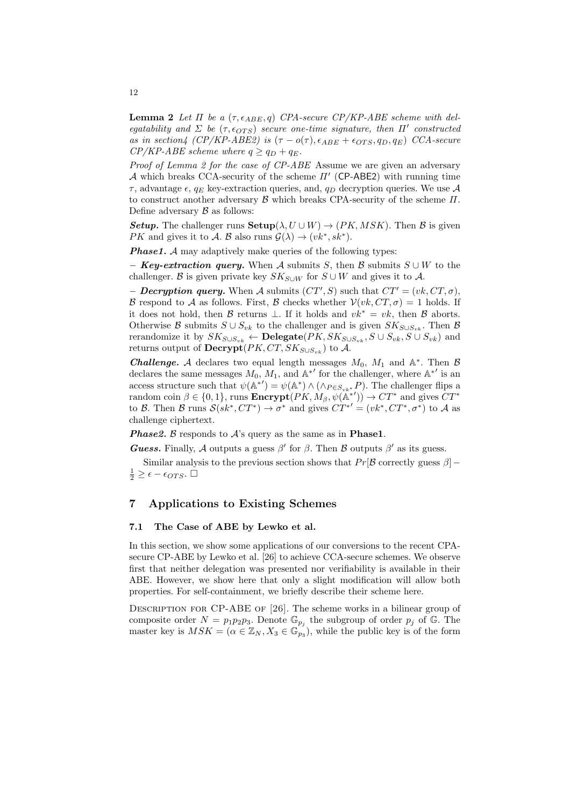**Lemma 2** *Let*  $\Pi$  *be a*  $(\tau, \epsilon_{ABE}, q)$  *CPA-secure CP/KP-ABE scheme with del-* $\epsilon$ *egatability and*  $\Sigma$  *be* ( $\tau$ , $\epsilon$  $\epsilon$  $\sigma$  $\text{TS}}$ ) *secure one-time signature, then*  $\Pi'$  *constructed as in section4 (CP/KP-ABE2) is*  $(\tau - o(\tau), \epsilon_{ABE} + \epsilon_{OTS}, q_D, q_E)$  *CCA-secure*  $CP/KP-ABE$  scheme where  $q \geq q_D + q_E$ .

*Proof of Lemma 2 for the case of CP-ABE* Assume we are given an adversary *A* which breaks CCA-security of the scheme *Π′* (CP-ABE2) with running time *τ*, advantage *ε*,  $q_E$  key-extraction queries, and,  $q_D$  decryption queries. We use *A* to construct another adversary *B* which breaks CPA-security of the scheme *Π*. Define adversary *B* as follows:

*Setup.* The challenger runs  $\textbf{Setup}(\lambda, U \cup W) \rightarrow (PK, MSK)$ . Then *B* is given *PK* and gives it to *A*. *B* also runs  $\mathcal{G}(\lambda) \to (vk^*, sk^*).$ 

*Phase1. A* may adaptively make queries of the following types:

*− Key-extraction query.* When *A* submits *S*, then *B* submits *S ∪ W* to the challenger. *B* is given private key  $SK_{S\cup W}$  for  $S\cup W$  and gives it to A.

*− Decryption query.* When *A* submits  $(CT', S)$  such that  $CT' = (vk, CT, σ)$ , *B* respond to *A* as follows. First, *B* checks whether  $V(vk, CT, \sigma) = 1$  holds. If it does not hold, then *B* returns  $\perp$ . If it holds and  $vk^* = vk$ , then *B* aborts. Otherwise *B* submits  $S \cup S_{vk}$  to the challenger and is given  $SK_{S \cup S_{vk}}$ . Then *B* rerandomize it by  $SK_{S\cup S_{vk}} \leftarrow \textbf{Delegate}(PK, SK_{S\cup S_{vk}}, S\cup S_{vk}, S\cup S_{vk})$  and returns output of  $\text{Decrypt}(PK, CT, SK_{S\cup S_{vk}})$  to A.

*Challenge. A* declares two equal length messages  $M_0$ ,  $M_1$  and  $A^*$ . Then  $B$ declares the same messages  $M_0$ ,  $M_1$ , and  $\mathbb{A}^{*'}$  for the challenger, where  $\mathbb{A}^{*'}$  is an access structure such that  $\psi(\mathbb{A}^{*}) = \psi(\mathbb{A}^{*}) \wedge (\wedge_{P \in S_{vk}*} P)$ . The challenger flips a random coin  $\beta \in \{0, 1\}$ , runs  $\text{Encrypt}(PK, M_{\beta}, \psi(\mathbb{A}^{*'})) \to CT^*$  and gives  $CT^*$ to *B*. Then *B* runs  $S(sk^*, CT^*) \to \sigma^*$  and gives  $CT^{*'} = (vk^*, CT^*, \sigma^*)$  to *A* as challenge ciphertext.

*Phase2. B* responds to *A*'s query as the same as in **Phase1**.

*Guess.* Finally, A outputs a guess  $\beta'$  for  $\beta$ . Then  $\beta$  outputs  $\beta'$  as its guess.

Similar analysis to the previous section shows that  $Pr[\mathcal{B}$  correctly guess  $\beta$ |*−*  $\frac{1}{2}$  ≥  $\epsilon$  −  $\epsilon$ <sub>OTS</sub>. □

#### **7 Applications to Existing Schemes**

#### **7.1 The Case of ABE by Lewko et al.**

In this section, we show some applications of our conversions to the recent CPAsecure CP-ABE by Lewko et al. [26] to achieve CCA-secure schemes. We observe first that neither delegation was presented nor verifiability is available in their ABE. However, we show here that only a slight modification will allow both properties. For self-containment, we briefly describe their scheme here.

DESCRIPTION FOR CP-ABE OF [26]. The scheme works in a bilinear group of composite order  $N = p_1 p_2 p_3$ . Denote  $\mathbb{G}_{p_j}$  the subgroup of order  $p_j$  of  $\mathbb{G}$ . The master key is  $MSK = (\alpha \in \mathbb{Z}_N, X_3 \in \mathbb{G}_{p_3})$ , while the public key is of the form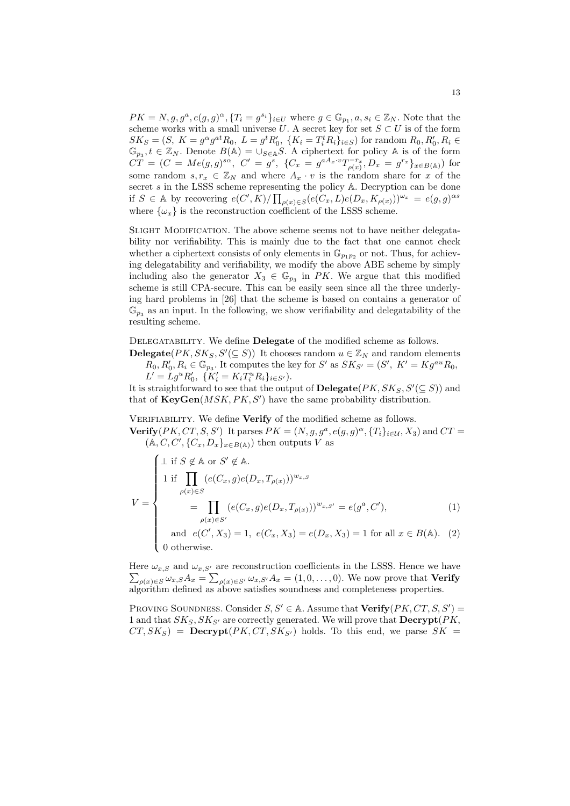$PK = N, g, g^a, e(g, g)^\alpha, \{T_i = g^{s_i}\}_{i \in U}$  where  $g \in \mathbb{G}_{p_1}, a, s_i \in \mathbb{Z}_N$ . Note that the scheme works with a small universe *U*. A secret key for set  $S \subset U$  is of the form  $SK_S = (S, K = g^{\alpha}g^{at}R_0, L = g^tR'_0, \{K_i = T_i^tR_i\}_{i \in S})$  for random  $R_0, R'_0, R_i \in$  $\mathbb{G}_{p_3}, t \in \mathbb{Z}_N$ . Denote  $B(\mathbb{A}) = \bigcup_{S \in \mathbb{A}} S$ . A ciphertext for policy  $\mathbb{A}$  is of the form  $\overline{CT} = (C = Me(g, g)^{s\alpha}, \ C' = g^s, \ \{C_x = g^{aA_x \cdot v} T_{\rho(x)}^{-r_x}, D_x = g^{r_x}\}_{x \in B(\mathbb{A})})$  for some random  $s, r_x \in \mathbb{Z}_N$  and where  $A_x \cdot v$  is the random share for *x* of the secret *s* in the LSSS scheme representing the policy A. Decryption can be done if  $S \in A$  by recovering  $e(C', K)/\prod_{\rho(x)\in S} (e(C_x, L)e(D_x, K_{\rho(x)}))^{\omega_x} = e(g, g)^{\alpha s}$ where  $\{\omega_x\}$  is the reconstruction coefficient of the LSSS scheme.

Slight Modification. The above scheme seems not to have neither delegatability nor verifiability. This is mainly due to the fact that one cannot check whether a ciphertext consists of only elements in  $\mathbb{G}_{p_1p_2}$  or not. Thus, for achieving delegatability and verifiability, we modify the above ABE scheme by simply including also the generator  $X_3 \in \mathbb{G}_{p_3}$  in *PK*. We argue that this modified scheme is still CPA-secure. This can be easily seen since all the three underlying hard problems in [26] that the scheme is based on contains a generator of  $\mathbb{G}_{p_2}$  as an input. In the following, we show verifiability and delegatability of the resulting scheme.

Delegatability. We define **Delegate** of the modified scheme as follows.

**Delegate**(*PK, SK<sub>S</sub></sub>, S<sup><i>'*</sup>( $\subseteq$  *S*)) It chooses random  $u \in \mathbb{Z}_N$  and random elements  $R_0, R'_0, R_i \in \mathbb{G}_{p_3}$ . It computes the key for *S'* as  $SK_{S'} = (S', K' = Kg^{au}R_0,$  $L' = Lg^u R'_0, \ \{K'_i = K_i T_i^u R_i\}_{i \in S'}).$ 

It is straightforward to see that the output of  $\textbf{Delegate}(PK, SK_S, S'(\subseteq S))$  and that of **KeyGen**(*MSK, PK, S′* ) have the same probability distribution.

Verifiability. We define **Verify** of the modified scheme as follows.

**Verify**(*PK, CT, S, S<sup><i>'*</sup>)</sub> It parses  $PK = (N, g, g^a, e(g, g)^\alpha, \{T_i\}_{i \in \mathcal{U}}, X_3)$  and  $CT =$  $(A, C, C', \{C_x, D_x\}_{x \in B(A)})$  then outputs *V* as

$$
V = \begin{cases} \perp \text{ if } S \notin \mathbb{A} \text{ or } S' \notin \mathbb{A}. \\ 1 \text{ if } \prod_{\rho(x) \in S} (e(C_x, g) e(D_x, T_{\rho(x)}))^{w_{x,S}} \\ = \prod_{\rho(x) \in S'} (e(C_x, g) e(D_x, T_{\rho(x)}))^{w_{x,S'}} = e(g^a, C'), \\ \text{ and } e(C', X_3) = 1, e(C_x, X_3) = e(D_x, X_3) = 1 \text{ for all } x \in B(\mathbb{A}). \end{cases}
$$
(1)  
0 otherwise.

Here  $\omega_{x,S}$  and  $\omega_{x,S'}$  are reconstruction coefficients in the LSSS. Hence we have  $\sum_{\rho(x)\in S}\omega_{x,S}A_{x} = \sum_{\rho(x)\in S'}\omega_{x,S'}A_{x} = (1,0,\ldots,0).$  We now prove that **Verify** algorithm defined as above satisfies soundness and completeness properties.

PROVING SOUNDNESS. Consider  $S, S' \in A$ . Assume that  $Verify(PK, CT, S, S') =$ 1 and that *SKS, SK<sup>S</sup>′* are correctly generated. We will prove that **Decrypt**(*PK,*  $CT, SK_S$  = **Decrypt** $(PK, CT, SK_{S'})$  holds. To this end, we parse  $SK =$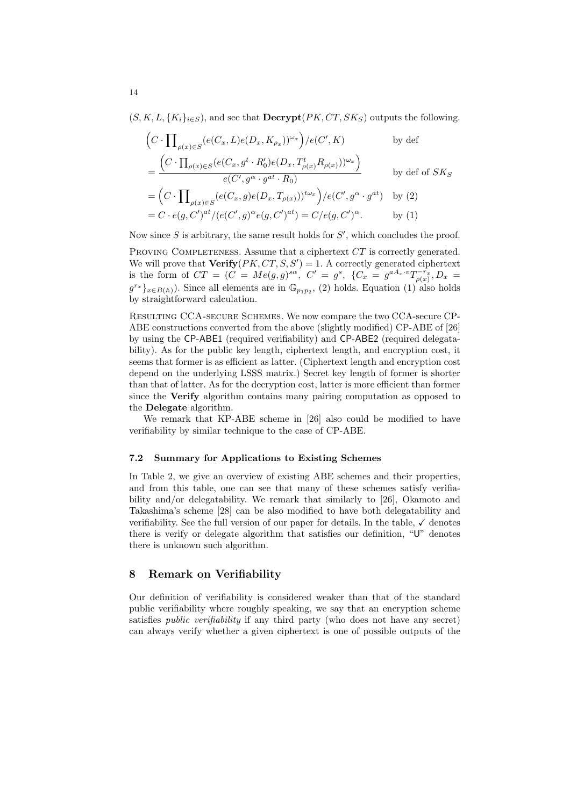$(S, K, L, \{K_i\}_{i \in S})$ , and see that  $\textbf{Decrypt}(PK, CT, SK_S)$  outputs the following.

$$
\left(C \cdot \prod_{\rho(x)\in S} (e(C_x, L)e(D_x, K_{\rho_x}))^{\omega_x}\right)/e(C', K) \qquad \text{by def}
$$
  
\n
$$
= \frac{\left(C \cdot \prod_{\rho(x)\in S} (e(C_x, g^t \cdot R'_0)e(D_x, T'_{\rho(x)}R_{\rho(x)}))^{\omega_x}\right)}{e(C', g^{\alpha} \cdot g^{at} \cdot R_0)} \qquad \text{by def of } SK_S
$$
  
\n
$$
= \left(C \cdot \prod_{\rho(x)\in S} (e(C_x, g)e(D_x, T_{\rho(x)}))^{t\omega_x}\right)/e(C', g^{\alpha} \cdot g^{at}) \qquad \text{by (2)}
$$
  
\n
$$
= C \cdot e(g, C')^{at}/(e(C', g)^{\alpha}e(g, C')^{at}) = C/e(g, C')^{\alpha}.
$$

Now since *S* is arbitrary, the same result holds for *S ′* , which concludes the proof.

PROVING COMPLETENESS. Assume that a ciphertext  $CT$  is correctly generated. We will prove that  $Verify(PK, CT, S, S') = 1$ . A correctly generated ciphertext is the form of  $CT = (C = Me(g, g)^{s\alpha}, C' = g^s, \{C_x = g^{aA_x \cdot v}T_{\rho(x)}^{-r_x}, D_x =$  $g^{r_x}$ <sub>*x*∈*B*(A)</sub>). Since all elements are in  $\mathbb{G}_{p_1p_2}$ , (2) holds. Equation (1) also holds by straightforward calculation.

Resulting CCA-secure Schemes. We now compare the two CCA-secure CP-ABE constructions converted from the above (slightly modified) CP-ABE of [26] by using the CP-ABE1 (required verifiability) and CP-ABE2 (required delegatability). As for the public key length, ciphertext length, and encryption cost, it seems that former is as efficient as latter. (Ciphertext length and encryption cost depend on the underlying LSSS matrix.) Secret key length of former is shorter than that of latter. As for the decryption cost, latter is more efficient than former since the **Verify** algorithm contains many pairing computation as opposed to the **Delegate** algorithm.

We remark that KP-ABE scheme in [26] also could be modified to have verifiability by similar technique to the case of CP-ABE.

#### **7.2 Summary for Applications to Existing Schemes**

In Table 2, we give an overview of existing ABE schemes and their properties, and from this table, one can see that many of these schemes satisfy verifiability and/or delegatability. We remark that similarly to [26], Okamoto and Takashima's scheme [28] can be also modified to have both delegatability and verifiability. See the full version of our paper for details. In the table,  $\checkmark$  denotes there is verify or delegate algorithm that satisfies our definition, "U" denotes there is unknown such algorithm.

# **8 Remark on Verifiability**

Our definition of verifiability is considered weaker than that of the standard public verifiability where roughly speaking, we say that an encryption scheme satisfies *public verifiability* if any third party (who does not have any secret) can always verify whether a given ciphertext is one of possible outputs of the

14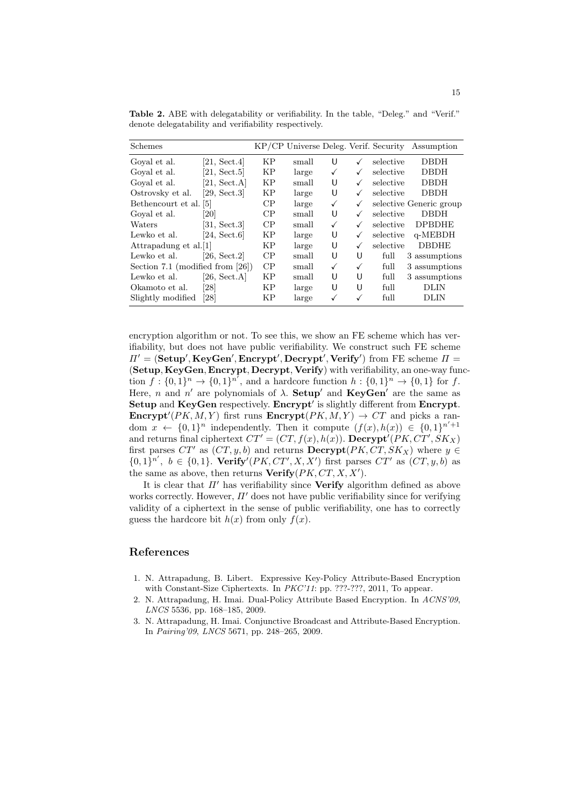Table 2. ABE with delegatability or verifiability. In the table, "Deleg." and "Verif." denote delegatability and verifiability respectively.

| Schemes                          |                          |           |       |              |   | KP/CP Universe Deleg. Verif. Security | Assumption              |
|----------------------------------|--------------------------|-----------|-------|--------------|---|---------------------------------------|-------------------------|
| Goyal et al.                     | [21, Sect. 4]            | KP        | small | U            | ✓ | selective                             | <b>DBDH</b>             |
| Goval et al.                     | $[21, \text{ Sect. } 5]$ | KP        | large | ✓            | √ | selective                             | <b>DBDH</b>             |
| Goyal et al.                     | [21, Sect.A]             | KP        | small | U            | ✓ | selective                             | <b>DBDH</b>             |
| Ostrovsky et al.                 | [29, Sect. 3]            | ΚP        | large | U            | √ | selective                             | <b>DBDH</b>             |
| Bethencourt et al. [5]           |                          | CP        | large | ✓            | ✓ |                                       | selective Generic group |
| Goval et al.                     | [20]                     | CP        | small | U            | ✓ | selective                             | <b>DBDH</b>             |
| Waters                           | [31, Sect.3]             | CP        | small | ✓            | ✓ | selective                             | <b>DPBDHE</b>           |
| Lewko et al.                     | [24, Sect. 6]            | KP        | large | U            | ✓ | selective                             | q-MEBDH                 |
| Attrapadung et al.[1]            |                          | ΚP        | large | U            | ✓ | selective                             | <b>DBDHE</b>            |
| Lewko et al.                     | [26, Sect. 2]            | CP        | small | U            | U | full                                  | 3 assumptions           |
| Section 7.1 (modified from [26]) |                          | CP        | small | ✓            | ✓ | full                                  | 3 assumptions           |
| Lewko et al.                     | [26, Sect.A]             | <b>KP</b> | small | U            | U | full                                  | 3 assumptions           |
| Okamoto et al.                   | [28]                     | ΚP        | large | U            | U | full                                  | DLIN                    |
| Slightly modified                | [28]                     | ΚP        | large | $\checkmark$ | ✓ | full                                  | DLIN                    |

encryption algorithm or not. To see this, we show an FE scheme which has verifiability, but does not have public verifiability. We construct such FE scheme  $\Pi' = (\mathbf{Setup}'$ ,  $\mathbf{KeyGen}'$ ,  $\mathbf{Encrypt}'$ ,  $\mathbf{Derypt}'$ ,  $\mathbf{Verify}'$ ) from FE scheme  $\Pi =$ (**Setup***,* **KeyGen***,* **Encrypt***,* **Decrypt***,* **Verify**) with verifiability, an one-way function  $f: \{0,1\}^n \to \{0,1\}^{n'}$ , and a hardcore function  $h: \{0,1\}^n \to \{0,1\}$  for  $f$ . Here, *n* and *n'* are polynomials of  $\lambda$ . **Setup'** and **KeyGen'** are the same as **Setup** and **KeyGen** respectively. **Encrypt***′* is slightly different from **Encrypt**. **Encrypt**<sup> $\prime$ </sup>(*PK, M,Y*) first runs **Encrypt**(*PK, M,Y*)  $\rightarrow$  *CT* and picks a random  $x \leftarrow \{0,1\}^n$  independently. Then it compute  $(f(x), h(x)) \in \{0,1\}^{n'+1}$ and returns final ciphertext  $CT' = (CT, f(x), h(x))$ . **Decrypt**<sup>*'*</sup>( $PK, CT', SK_X$ ) first parses  $CT'$  as  $(CT, y, b)$  and returns  $\textbf{Decrypt}(PK, CT, SK_X)$  where  $y \in$ *{*0*,* 1*}*<sup>*n'*</sup>, *b* ∈ {0*,* 1*}*. **Verify**<sup>'</sup>(*PK, CT', X, X'*) first parses *CT'* as (*CT, y, b*) as the same as above, then returns  $Verify(PK, CT, X, X')$ .

It is clear that *Π′* has verifiability since **Verify** algorithm defined as above works correctly. However, *Π′* does not have public verifiability since for verifying validity of a ciphertext in the sense of public verifiability, one has to correctly guess the hardcore bit  $h(x)$  from only  $f(x)$ .

# **References**

- 1. N. Attrapadung, B. Libert. Expressive Key-Policy Attribute-Based Encryption with Constant-Size Ciphertexts. In *PKC'11*: pp. ???-???, 2011, To appear.
- 2. N. Attrapadung, H. Imai. Dual-Policy Attribute Based Encryption. In *ACNS'09*, *LNCS* 5536, pp. 168–185, 2009.
- 3. N. Attrapadung, H. Imai. Conjunctive Broadcast and Attribute-Based Encryption. In *Pairing'09*, *LNCS* 5671, pp. 248–265, 2009.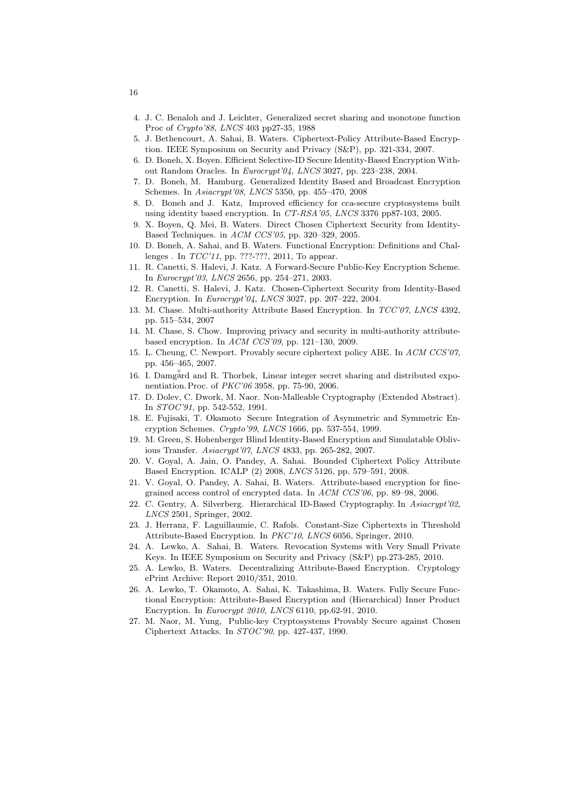- 4. J. C. Benaloh and J. Leichter, Generalized secret sharing and monotone function Proc of *Crypto'88*, *LNCS* 403 pp27-35, 1988
- 5. J. Bethencourt, A. Sahai, B. Waters. Ciphertext-Policy Attribute-Based Encryption. IEEE Symposium on Security and Privacy (S&P), pp. 321-334, 2007.
- 6. D. Boneh, X. Boyen. Efficient Selective-ID Secure Identity-Based Encryption Without Random Oracles. In *Eurocrypt'04*, *LNCS* 3027, pp. 223–238, 2004.
- 7. D. Boneh, M. Hamburg. Generalized Identity Based and Broadcast Encryption Schemes. In *Asiacrypt'08*, *LNCS* 5350, pp. 455–470, 2008
- 8. D. Boneh and J. Katz, Improved efficiency for cca-secure cryptosystems built using identity based encryption. In *CT-RSA'05*, *LNCS* 3376 pp87-103, 2005.
- 9. X. Boyen, Q. Mei, B. Waters. Direct Chosen Ciphertext Security from Identity-Based Techniques. in *ACM CCS'05*, pp. 320–329, 2005.
- 10. D. Boneh, A. Sahai, and B. Waters. Functional Encryption: Definitions and Challenges . In *TCC'11*, pp. ???-???, 2011, To appear.
- 11. R. Canetti, S. Halevi, J. Katz. A Forward-Secure Public-Key Encryption Scheme. In *Eurocrypt'03*, *LNCS* 2656, pp. 254–271, 2003.
- 12. R. Canetti, S. Halevi, J. Katz. Chosen-Ciphertext Security from Identity-Based Encryption. In *Eurocrypt'04*, *LNCS* 3027, pp. 207–222, 2004.
- 13. M. Chase. Multi-authority Attribute Based Encryption. In *TCC'07*, *LNCS* 4392, pp. 515–534, 2007
- 14. M. Chase, S. Chow. Improving privacy and security in multi-authority attributebased encryption. In *ACM CCS'09*, pp. 121–130, 2009.
- 15. L. Cheung, C. Newport. Provably secure ciphertext policy ABE. In *ACM CCS'07*, pp. 456–465, 2007.
- 16. I. Damgård and R. Thorbek, Linear integer secret sharing and distributed exponentiation.Proc. of *PKC'06* 3958, pp. 75-90, 2006.
- 17. D. Dolev, C. Dwork, M. Naor. Non-Malleable Cryptography (Extended Abstract). In *STOC'91*, pp. 542-552, 1991.
- 18. E. Fujisaki, T. Okamoto Secure Integration of Asymmetric and Symmetric Encryption Schemes. *Crypto'99*, *LNCS* 1666, pp. 537-554, 1999.
- 19. M. Green, S. Hohenberger Blind Identity-Based Encryption and Simulatable Oblivious Transfer. *Asiacrypt'07*, *LNCS* 4833, pp. 265-282, 2007.
- 20. V. Goyal, A. Jain, O. Pandey, A. Sahai. Bounded Ciphertext Policy Attribute Based Encryption. ICALP (2) 2008, *LNCS* 5126, pp. 579–591, 2008.
- 21. V. Goyal, O. Pandey, A. Sahai, B. Waters. Attribute-based encryption for finegrained access control of encrypted data. In *ACM CCS'06*, pp. 89–98, 2006.
- 22. C. Gentry, A. Silverberg. Hierarchical ID-Based Cryptography. In *Asiacrypt'02*, *LNCS* 2501, Springer, 2002.
- 23. J. Herranz, F. Laguillaumie, C. Rafols. Constant-Size Ciphertexts in Threshold Attribute-Based Encryption. In *PKC'10*, *LNCS* 6056, Springer, 2010.
- 24. A. Lewko, A. Sahai, B. Waters. Revocation Systems with Very Small Private Keys. In IEEE Symposium on Security and Privacy (S&P) pp.273-285, 2010.
- 25. A. Lewko, B. Waters. Decentralizing Attribute-Based Encryption. Cryptology ePrint Archive: Report 2010/351, 2010.
- 26. A. Lewko, T. Okamoto, A. Sahai, K. Takashima, B. Waters. Fully Secure Functional Encryption: Attribute-Based Encryption and (Hierarchical) Inner Product Encryption. In *Eurocrypt 2010*, *LNCS* 6110, pp.62-91, 2010.
- 27. M. Naor, M. Yung, Public-key Cryptosystems Provably Secure against Chosen Ciphertext Attacks. In *STOC'90*, pp. 427-437, 1990.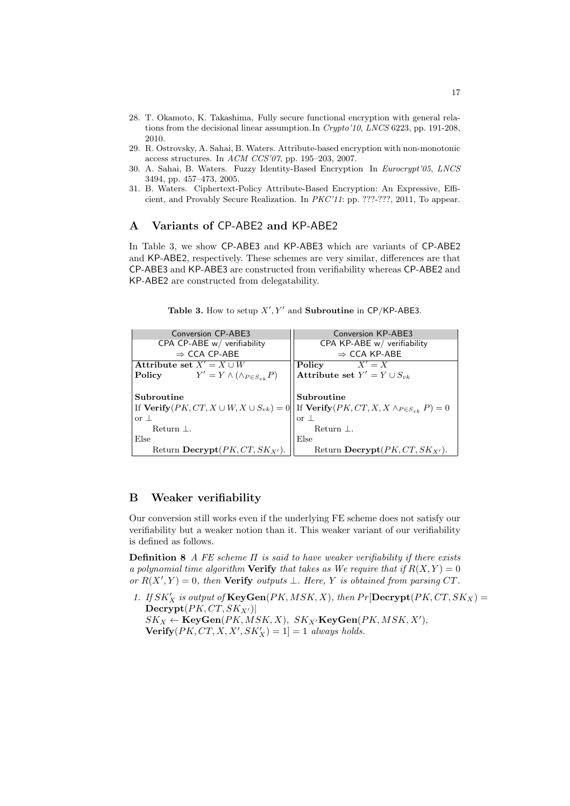- 28. T. Okamoto, K. Takashima, Fully secure functional encryption with general relations from the decisional linear assumption.In *Crypto'10*, *LNCS* 6223, pp. 191-208, 2010.
- 29. R. Ostrovsky, A. Sahai, B. Waters. Attribute-based encryption with non-monotonic access structures. In *ACM CCS'07*, pp. 195–203, 2007.
- 30. A. Sahai, B. Waters. Fuzzy Identity-Based Encryption In *Eurocrypt'05*, *LNCS* 3494, pp. 457–473, 2005.
- 31. B. Waters. Ciphertext-Policy Attribute-Based Encryption: An Expressive, Efficient, and Provably Secure Realization. In *PKC'11*: pp. ???-???, 2011, To appear.

# **A Variants of** CP-ABE2 **and** KP-ABE2

In Table 3, we show CP-ABE3 and KP-ABE3 which are variants of CP-ABE2 and KP-ABE2, respectively. These schemes are very similar, differences are that CP-ABE3 and KP-ABE3 are constructed from verifiability whereas CP-ABE2 and KP-ABE2 are constructed from delegatability.

| Conversion CP-ABE3                                  | Conversion KP-ABE3                                    |
|-----------------------------------------------------|-------------------------------------------------------|
| CPA CP-ABE w/ verifiability                         | CPA KP-ABE w/ verifiability                           |
| $\Rightarrow$ CCA CP-ABE                            | $\Rightarrow$ CCA KP-ABE                              |
| Attribute set $X' = X \cup W$                       | $X' = X$<br>Policy                                    |
| $Y' = Y \wedge (\wedge_{P \in S_{nk}} P)$<br>Policy | Attribute set $Y' = Y \cup S_{vk}$                    |
|                                                     |                                                       |
| Subroutine                                          | Subroutine                                            |
| If $Verify(PK, CT, X \cup W, X \cup S_{vk}) = 0$    | If $Verify(PK, CT, X, X \wedge_{P \in S_{nk}} P) = 0$ |
| or $\perp$                                          | $or \perp$                                            |
| Return $\perp$ .                                    | Return $\perp$ .                                      |
| Else                                                | Else                                                  |
| Return $\textbf{Decrypt}(PK, CT, SK_{X'})$ .        | Return $\textbf{Decrypt}(PK, CT, SK_{X'})$ .          |

|  |  | Table 3. How to setup $X', Y'$ and Subroutine in CP/KP-ABE3. |
|--|--|--------------------------------------------------------------|
|--|--|--------------------------------------------------------------|

# **B Weaker verifiability**

Our conversion still works even if the underlying FE scheme does not satisfy our verifiability but a weaker notion than it. This weaker variant of our verifiability is defined as follows.

**Definition 8** *A FE scheme Π is said to have weaker verifiability if there exists a polynomial time algorithm* **Verify** *that takes as We require that if*  $R(X, Y) = 0$  $or R(X', Y) = 0$ *, then* **Verify** *outputs*  $\perp$ *. Here,*  $Y$  *is obtained from parsing*  $CT$ *.* 

*1. If*  $SK'_{X}$  *is output of*  $KeyGen(PK, MSK, X)$ *, then*  $Pr[$ **Decrypt** $(PK, CT, SK_{X})$  = **Decrypt**(*PK, CT, SK<sup>X</sup>′* )*|*  $SK_X \leftarrow \textbf{KeyGen}(PK, MSK, X), \; SK_{X'}\textbf{KeyGen}(PK, MSK, X'),$ *always holds.*